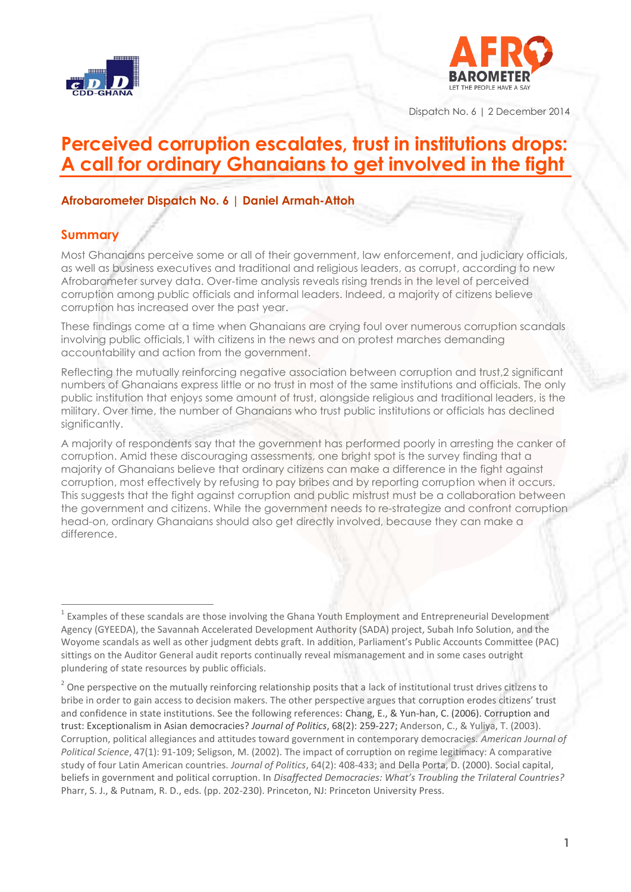



Dispatch No. 6 | 2 December 2014

## **Perceived corruption escalates, trust in institutions drops: A call for ordinary Ghanaians to get involved in the fight**

#### **Afrobarometer Dispatch No. 6 | Daniel Armah-Attoh**

## **Summary**

Most Ghanaians perceive some or all of their government, law enforcement, and judiciary officials, as well as business executives and traditional and religious leaders, as corrupt, according to new Afrobarometer survey data. Over-time analysis reveals rising trends in the level of perceived corruption among public officials and informal leaders. Indeed, a majority of citizens believe corruption has increased over the past year.

These findings come at a time when Ghanaians are crying foul over numerous corruption scandals involving public officials,1 with citizens in the news and on protest marches demanding accountability and action from the government.

Reflecting the mutually reinforcing negative association between corruption and trust,2 significant numbers of Ghanaians express little or no trust in most of the same institutions and officials. The only public institution that enjoys some amount of trust, alongside religious and traditional leaders, is the military. Over time, the number of Ghanaians who trust public institutions or officials has declined significantly.

A majority of respondents say that the government has performed poorly in arresting the canker of corruption. Amid these discouraging assessments, one bright spot is the survey finding that a majority of Ghanaians believe that ordinary citizens can make a difference in the fight against corruption, most effectively by refusing to pay bribes and by reporting corruption when it occurs. This suggests that the fight against corruption and public mistrust must be a collaboration between the government and citizens. While the government needs to re-strategize and confront corruption head-on, ordinary Ghanaians should also get directly involved, because they can make a difference.

 $1$  Examples of these scandals are those involving the Ghana Youth Employment and Entrepreneurial Development Agency (GYEEDA), the Savannah Accelerated Development Authority (SADA) project, Subah Info Solution, and the Woyome scandals as well as other judgment debts graft. In addition, Parliament's Public Accounts Committee (PAC) sittings on the Auditor General audit reports continually reveal mismanagement and in some cases outright plundering of state resources by public officials.

 $2$  One perspective on the mutually reinforcing relationship posits that a lack of institutional trust drives citizens to bribe in order to gain access to decision makers. The other perspective argues that corruption erodes citizens' trust and confidence in state institutions. See the following references: Chang, E., & Yun-han, C. (2006). Corruption and trust: Exceptionalism in Asian democracies? *Journal of Politics*, 68(2): 259-227; Anderson, C., & Yuliya, T. (2003). Corruption, political allegiances and attitudes toward government in contemporary democracies. *American Journal of Political Science*, 47(1): 91-109; Seligson, M. (2002). The impact of corruption on regime legitimacy: A comparative study of four Latin American countries. *Journal of Politics*, 64(2): 408-433; and Della Porta, D. (2000). Social capital, beliefs in government and political corruption. In *Disaffected Democracies: What's Troubling the Trilateral Countries?* Pharr, S. J., & Putnam, R. D., eds. (pp. 202-230). Princeton, NJ: Princeton University Press.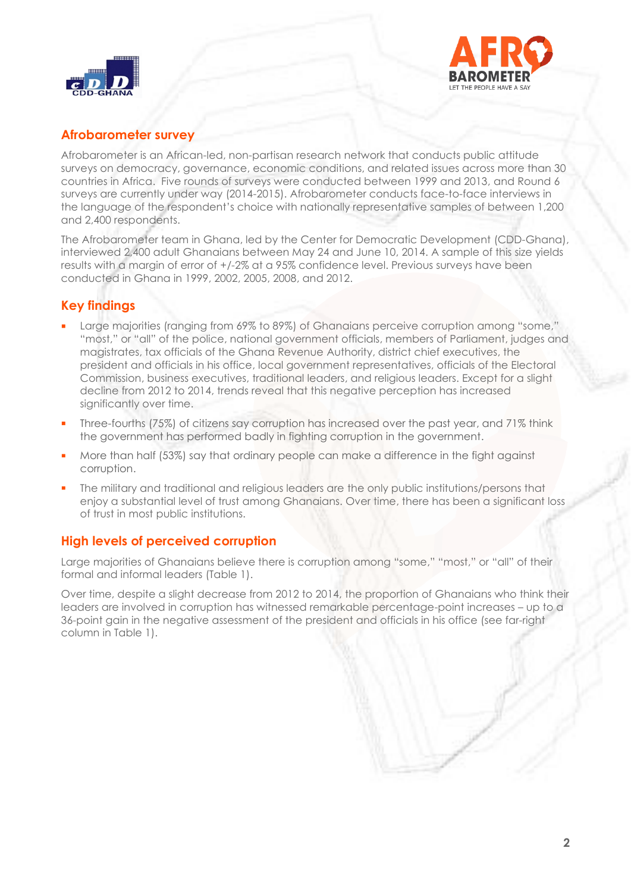



## **Afrobarometer survey**

Afrobarometer is an African-led, non-partisan research network that conducts public attitude surveys on democracy, governance, economic conditions, and related issues across more than 30 countries in Africa. Five rounds of surveys were conducted between 1999 and 2013, and Round 6 surveys are currently under way (2014-2015). Afrobarometer conducts face-to-face interviews in the language of the respondent"s choice with nationally representative samples of between 1,200 and 2,400 respondents.

The Afrobarometer team in Ghana, led by the Center for Democratic Development (CDD-Ghana), interviewed 2,400 adult Ghanaians between May 24 and June 10, 2014. A sample of this size yields results with a margin of error of +/-2% at a 95% confidence level. Previous surveys have been conducted in Ghana in 1999, 2002, 2005, 2008, and 2012.

## **Key findings**

- **Large majorities (ranging from 69% to 89%) of Ghanaians perceive corruption among "some,"** "most," or "all" of the police, national government officials, members of Parliament, judges and magistrates, tax officials of the Ghana Revenue Authority, district chief executives, the president and officials in his office, local government representatives, officials of the Electoral Commission, business executives, traditional leaders, and religious leaders. Except for a slight decline from 2012 to 2014, trends reveal that this negative perception has increased significantly over time.
- Three-fourths (75%) of citizens say corruption has increased over the past year, and 71% think the government has performed badly in fighting corruption in the government.
- More than half (53%) say that ordinary people can make a difference in the fight against corruption.
- The military and traditional and religious leaders are the only public institutions/persons that enjoy a substantial level of trust among Ghanaians. Over time, there has been a significant loss of trust in most public institutions.

## **High levels of perceived corruption**

Large majorities of Ghanaians believe there is corruption among "some," "most," or "all" of their formal and informal leaders (Table 1).

Over time, despite a slight decrease from 2012 to 2014, the proportion of Ghanaians who think their leaders are involved in corruption has witnessed remarkable percentage-point increases – up to a 36-point gain in the negative assessment of the president and officials in his office (see far-right column in Table 1).

**2**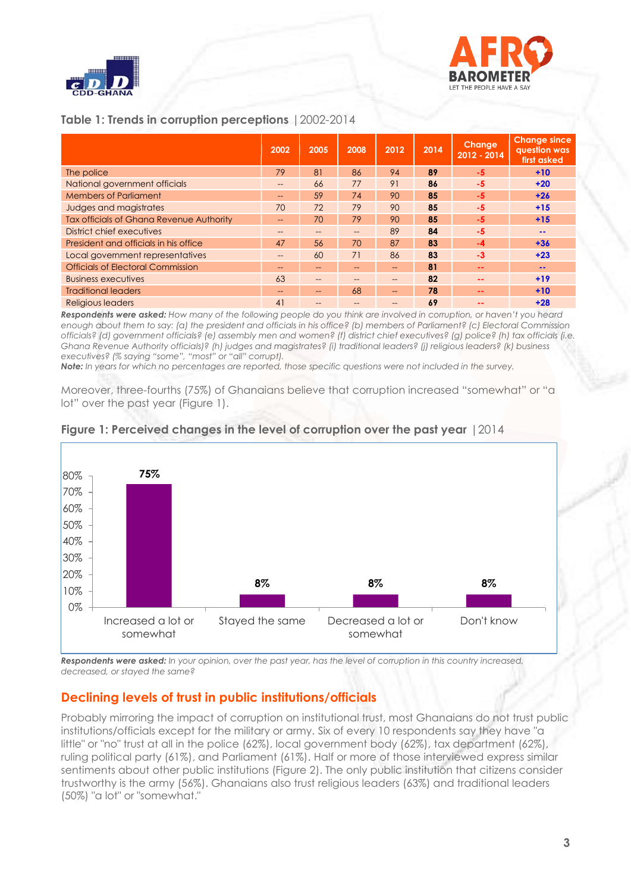

# BARO LET THE PEOPLE HAVE A SAY

### **Table 1: Trends in corruption perceptions** |2002-2014

|                                          | 2002              | 2005 | 2008 | 2012 | 2014 | <b>Change</b><br>2012 - 2014 | <b>Change since</b><br>question was<br>first asked |
|------------------------------------------|-------------------|------|------|------|------|------------------------------|----------------------------------------------------|
| The police                               | 79                | 81   | 86   | 94   | 89   | $-5$                         | $+10$                                              |
| National government officials            |                   | 66   | 77   | 91   | 86   | $-5$                         | $+20$                                              |
| <b>Members of Parliament</b>             | $\qquad \qquad -$ | 59   | 74   | 90   | 85   | $-5$                         | $+26$                                              |
| Judges and magistrates                   | 70                | 72   | 79   | 90   | 85   | $-5$                         | $+15$                                              |
| Tax officials of Ghana Revenue Authority | $- -$             | 70   | 79   | 90   | 85   | $-5$                         | $+15$                                              |
| District chief executives                | --                | $-$  | $-$  | 89   | 84   | $-5$                         | $- -$                                              |
| President and officials in his office    | 47                | 56   | 70   | 87   | 83   | $-4$                         | $+36$                                              |
| Local government representatives         | $\qquad \qquad -$ | 60   | 71   | 86   | 83   | $-3$                         | $+23$                                              |
| <b>Officials of Electoral Commission</b> | $- -$             | $-$  | --   | --   | 81   | --                           | --                                                 |
| <b>Business executives</b>               | 63                | $-$  |      | --   | 82   | $\sim$ $\sim$                | $+19$                                              |
| <b>Traditional leaders</b>               | --                | --   | 68   | --   | 78   | $\sim$ $-$                   | $+10$                                              |
| Religious legders                        | 41                | --   |      |      | 69   | --                           | $+28$                                              |

*Respondents were asked: How many of the following people do you think are involved in corruption, or haven't you heard enough about them to say: (a) the president and officials in his office? (b) members of Parliament? (c) Electoral Commission officials? (d) government officials? (e) assembly men and women? (f) district chief executives? (g) police? (h) tax officials (i.e. Ghana Revenue Authority officials)? (h) judges and magistrates? (i) traditional leaders? (j) religious leaders? (k) business executives? (% saying "some", "most" or "all" corrupt).* 

*Note: In years for which no percentages are reported, those specific questions were not included in the survey.*

Moreover, three-fourths (75%) of Ghanaians believe that corruption increased "somewhat" or "a lot" over the past year (Figure 1).



#### **Figure 1: Perceived changes in the level of corruption over the past year** |2014

*Respondents were asked: In your opinion, over the past year, has the level of corruption in this country increased, decreased, or stayed the same?*

#### **Declining levels of trust in public institutions/officials**

Probably mirroring the impact of corruption on institutional trust, most Ghanaians do not trust public institutions/officials except for the military or army. Six of every 10 respondents say they have "a little" or "no" trust at all in the police (62%), local government body (62%), tax department (62%), ruling political party (61%), and Parliament (61%). Half or more of those interviewed express similar sentiments about other public institutions (Figure 2). The only public institution that citizens consider trustworthy is the army (56%). Ghanaians also trust religious leaders (63%) and traditional leaders (50%) "a lot" or "somewhat."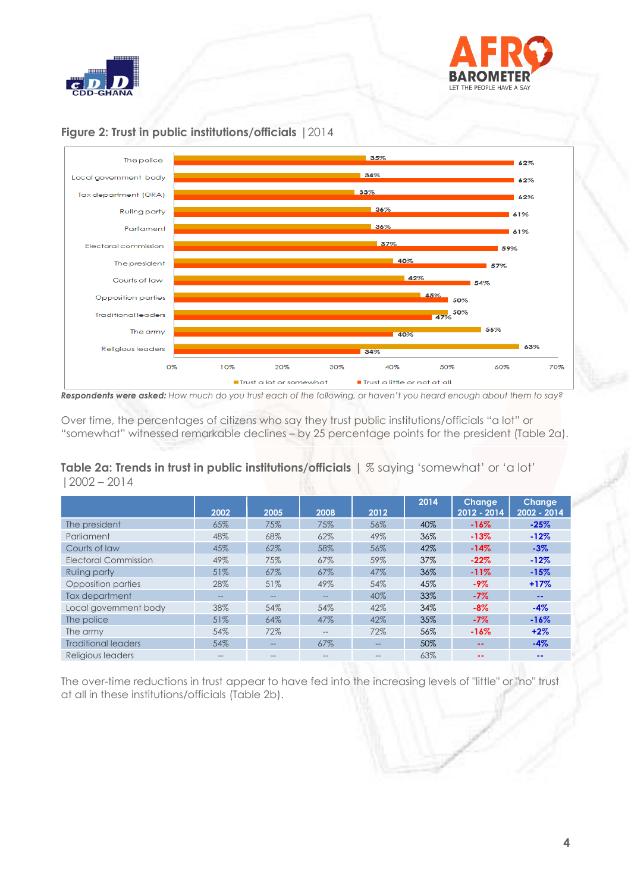





#### **Figure 2: Trust in public institutions/officials** |2014

*Respondents were asked: How much do you trust each of the following, or haven't you heard enough about them to say?* 

Over time, the percentages of citizens who say they trust public institutions/officials "a lot" or "somewhat" witnessed remarkable declines – by 25 percentage points for the president (Table 2a).

**Table 2a: Trends in trust in public institutions/officials** | *%* saying "somewhat" or "a lot" |2002 – 2014

|                            | 2002  | 2005  | 2008              | 2012              | 2014 | <b>Change</b><br>2012 - 2014 | <b>Change</b><br>2002 - 2014 |
|----------------------------|-------|-------|-------------------|-------------------|------|------------------------------|------------------------------|
| The president              | 65%   | 75%   | 75%               | 56%               | 40%  | $-16\%$                      | $-25%$                       |
| Parliament                 | 48%   | 68%   | 62%               | 49%               | 36%  | $-13%$                       | $-12%$                       |
| Courts of law              | 45%   | 62%   | 58%               | 56%               | 42%  | $-14%$                       | $-3%$                        |
| Electoral Commission       | 49%   | 75%   | 67%               | 59%               | 37%  | $-22%$                       | $-12%$                       |
| Ruling party               | 51%   | 67%   | 67%               | 47%               | 36%  | $-11%$                       | $-15%$                       |
| Opposition parties         | 28%   | 51%   | 49%               | 54%               | 45%  | $-9%$                        | $+17%$                       |
| Tax department             | $- -$ | $- -$ | $-$               | 40%               | 33%  | $-7%$                        | $\sim$ $\sim$                |
| Local government body      | 38%   | 54%   | 54%               | 42%               | 34%  | $-8%$                        | $-4%$                        |
| The police                 | 51%   | 64%   | 47%               | 42%               | 35%  | $-7\%$                       | $-16%$                       |
| The army                   | 54%   | 72%   | $\qquad \qquad -$ | 72%               | 56%  | $-16%$                       | $+2%$                        |
| <b>Traditional leaders</b> | 54%   | $- -$ | 67%               | $\qquad \qquad -$ | 50%  | --                           | $-4%$                        |
| Religious leggers          |       | --    |                   |                   | 63%  |                              | --                           |

The over-time reductions in trust appear to have fed into the increasing levels of "little" or "no" trust at all in these institutions/officials (Table 2b).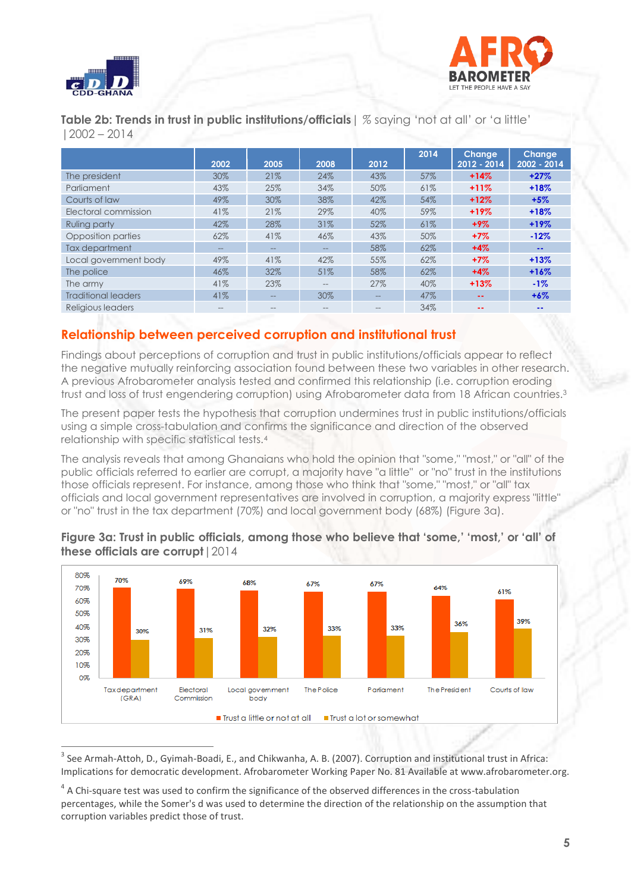



**Table 2b: Trends in trust in public institutions/officials**| *%* saying "not at all" or "a little" |2002 – 2014

|                            | 2002  | 2005  | 2008  | 2012              | 2014 | <b>Change</b><br>2012 - 2014 | <b>Change</b><br>2002 - 2014 |
|----------------------------|-------|-------|-------|-------------------|------|------------------------------|------------------------------|
| The president              | 30%   | 21%   | 24%   | 43%               | 57%  | $+14%$                       | $+27%$                       |
| Parliament                 | 43%   | 25%   | 34%   | 50%               | 61%  | $+11%$                       | $+18%$                       |
| Courts of law              | 49%   | 30%   | 38%   | 42%               | 54%  | $+12%$                       | $+5%$                        |
| Electoral commission       | 41%   | 21%   | 29%   | 40%               | 59%  | $+19%$                       | $+18%$                       |
| Ruling party               | 42%   | 28%   | 31%   | 52%               | 61%  | $+9\%$                       | $+19%$                       |
| Opposition parties         | 62%   | 41%   | 46%   | 43%               | 50%  | $+7%$                        | $-12%$                       |
| Tax department             | $- -$ | $- -$ | $- -$ | 58%               | 62%  | $+4%$                        | $\sim$ $\sim$                |
| Local government body      | 49%   | 41%   | 42%   | 55%               | 62%  | $+7\%$                       | $+13%$                       |
| The police                 | 46%   | 32%   | 51%   | 58%               | 62%  | $+4%$                        | $+16%$                       |
| The army                   | 41%   | 23%   | $- -$ | 27%               | 40%  | $+13%$                       | $-1%$                        |
| <b>Traditional leaders</b> | 41%   | $- -$ | 30%   | $\qquad \qquad -$ | 47%  | $- -$                        | $+6\%$                       |
| Religious leaders          | $-$   | $- -$ | $- -$ | $- -$             | 34%  | $\sim$ $\sim$                | $\sim$ $\sim$                |

## **Relationship between perceived corruption and institutional trust**

Findings about perceptions of corruption and trust in public institutions/officials appear to reflect the negative mutually reinforcing association found between these two variables in other research. A previous Afrobarometer analysis tested and confirmed this relationship (i.e. corruption eroding trust and loss of trust engendering corruption) using Afrobarometer data from 18 African countries.<sup>3</sup>

The present paper tests the hypothesis that corruption undermines trust in public institutions/officials using a simple cross-tabulation and confirms the significance and direction of the observed relationship with specific statistical tests.<sup>4</sup>

The analysis reveals that among Ghanaians who hold the opinion that "some," "most," or "all" of the public officials referred to earlier are corrupt, a majority have "a little" or "no" trust in the institutions those officials represent. For instance, among those who think that "some," "most," or "all" tax officials and local government representatives are involved in corruption, a majority express "little" or "no" trust in the tax department (70%) and local government body (68%) (Figure 3a).



#### **Figure 3a: Trust in public officials, among those who believe that 'some,' 'most,' or 'all' of these officials are corrupt**|2014

 <sup>3</sup> See Armah-Attoh, D., Gyimah-Boadi, E., and Chikwanha, A. B. (2007). Corruption and institutional trust in Africa: Implications for democratic development. Afrobarometer Working Paper No. 81 Available at www.afrobarometer.org.

 $4$  A Chi-square test was used to confirm the significance of the observed differences in the cross-tabulation percentages, while the Somer's d was used to determine the direction of the relationship on the assumption that corruption variables predict those of trust.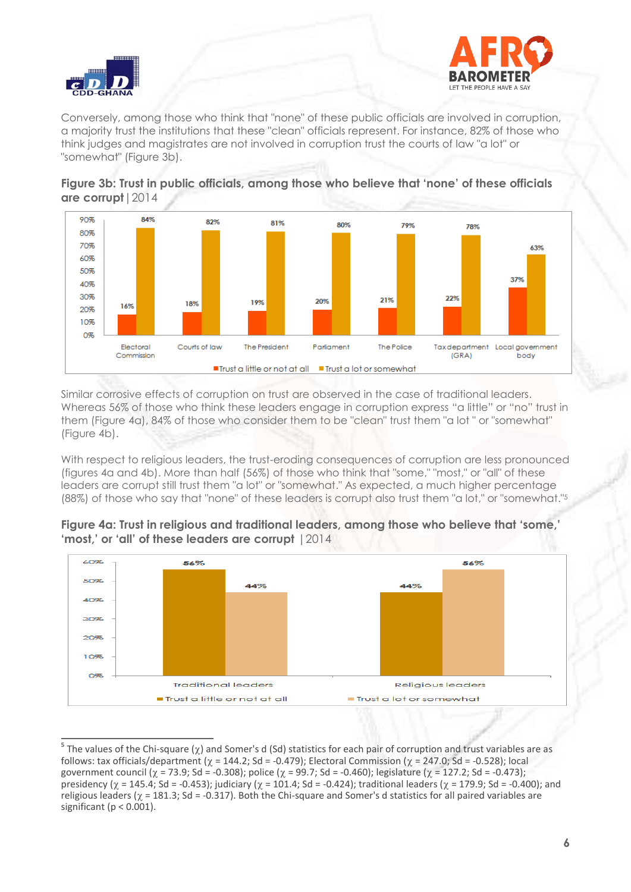



Conversely, among those who think that "none" of these public officials are involved in corruption, a majority trust the institutions that these "clean" officials represent. For instance, 82% of those who think judges and magistrates are not involved in corruption trust the courts of law "a lot" or "somewhat" (Figure 3b).





Similar corrosive effects of corruption on trust are observed in the case of traditional leaders. Whereas 56% of those who think these leaders engage in corruption express "a little" or "no" trust in them (Figure 4a), 84% of those who consider them to be "clean" trust them "a lot " or "somewhat" (Figure 4b).

With respect to religious leaders, the trust-eroding consequences of corruption are less pronounced (figures 4a and 4b). More than half (56%) of those who think that "some," "most," or "all" of these leaders are corrupt still trust them "a lot" or "somewhat." As expected, a much higher percentage (88%) of those who say that "none" of these leaders is corrupt also trust them "a lot," or "somewhat." 5





**<sup>5</sup>**<br> **5** The values of the Chi-square (χ) and Somer's d (Sd) statistics for each pair of corruption and trust variables are as follows: tax officials/department ( $\gamma = 144.2$ ; Sd = -0.479); Electoral Commission ( $\gamma = 247.0$ ; Sd = -0.528); local government council ( $\gamma$  = 73.9; Sd = -0.308); police ( $\gamma$  = 99.7; Sd = -0.460); legislature ( $\gamma$  = 127.2; Sd = -0.473); presidency ( $\gamma = 145.4$ ; Sd = -0.453); judiciary ( $\gamma = 101.4$ ; Sd = -0.424); traditional leaders ( $\gamma = 179.9$ ; Sd = -0.400); and religious leaders ( $\gamma$  = 181.3; Sd = -0.317). Both the Chi-square and Somer's d statistics for all paired variables are significant ( $p < 0.001$ ).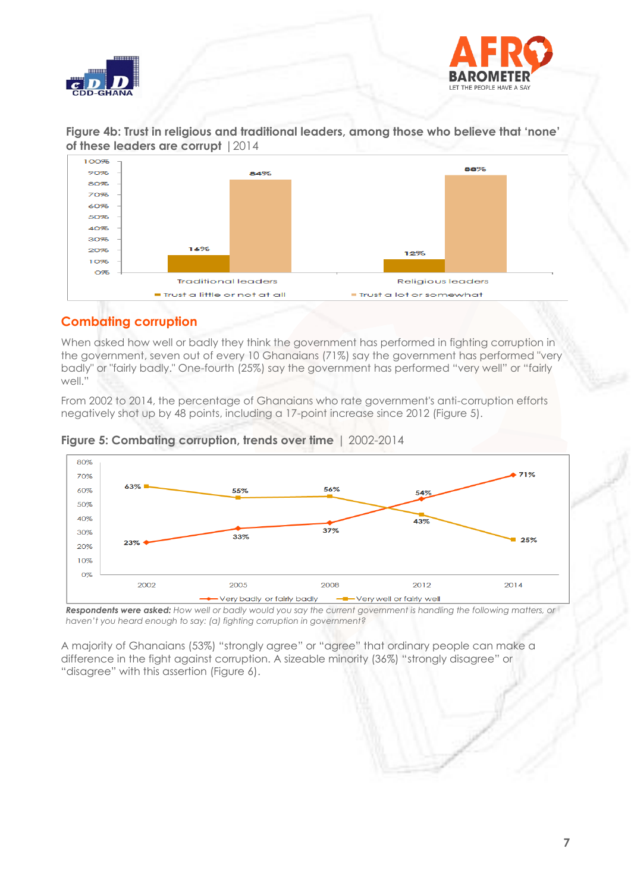



**Figure 4b: Trust in religious and traditional leaders, among those who believe that 'none' of these leaders are corrupt** |2014



## **Combating corruption**

When asked how well or badly they think the government has performed in fighting corruption in the government, seven out of every 10 Ghanaians (71%) say the government has performed "very badly" or "fairly badly." One-fourth (25%) say the government has performed "very well" or "fairly well."

From 2002 to 2014, the percentage of Ghanaians who rate government's anti-corruption efforts negatively shot up by 48 points, including a 17-point increase since 2012 (Figure 5).



**Figure 5: Combating corruption, trends over time** | 2002-2014

*Respondents were asked: How well or badly would you say the current government is handling the following matters, or haven't you heard enough to say: (a) fighting corruption in government?*

A majority of Ghanaians (53%) "strongly agree" or "agree" that ordinary people can make a difference in the fight against corruption. A sizeable minority (36%) "strongly disagree" or "disagree" with this assertion (Figure 6).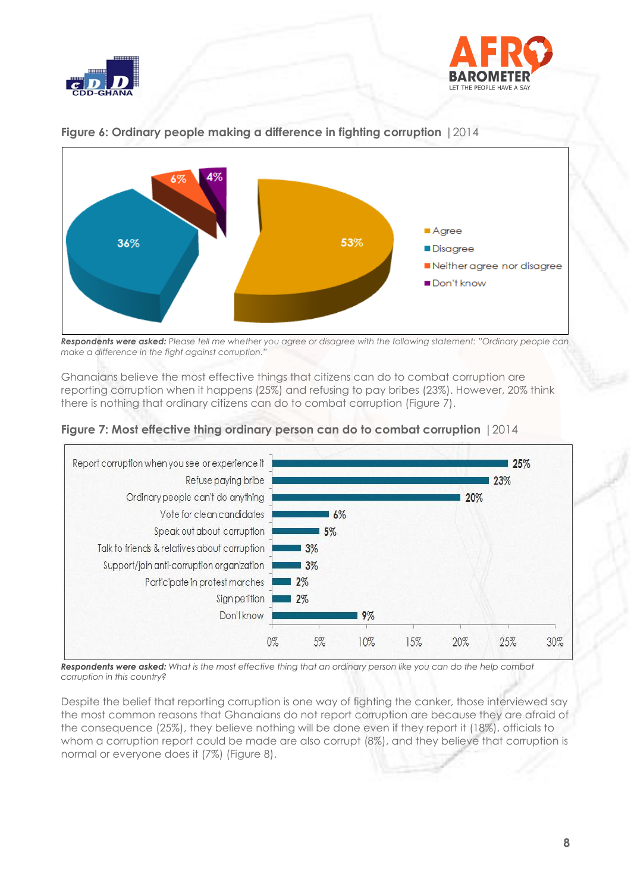





**Figure 6: Ordinary people making a difference in fighting corruption** |2014

*Respondents were asked: Please tell me whether you agree or disagree with the following statement: "Ordinary people can make a difference in the fight against corruption."* 

Ghanaians believe the most effective things that citizens can do to combat corruption are reporting corruption when it happens (25%) and refusing to pay bribes (23%). However, 20% think there is nothing that ordinary citizens can do to combat corruption (Figure 7).





*Respondents were asked: What is the most effective thing that an ordinary person like you can do the help combat corruption in this country?* 

Despite the belief that reporting corruption is one way of fighting the canker, those interviewed say the most common reasons that Ghanaians do not report corruption are because they are afraid of the consequence (25%), they believe nothing will be done even if they report it (18%), officials to whom a corruption report could be made are also corrupt  $(8\%)$ , and they believe that corruption is normal or everyone does it (7%) (Figure 8).